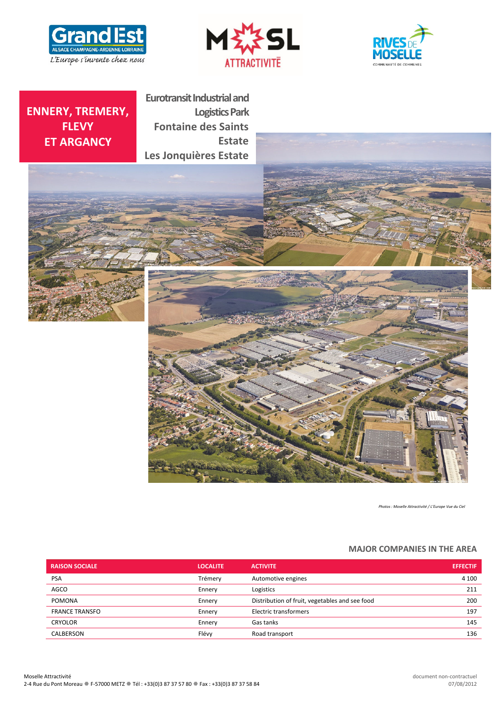





# **ENNERY, TREMERY, FLEVY ET ARGANCY**

**Eurotransit Industrial and Logistics Park Fontaine des Saints Estate Les Jonquières Estate**





*Photos : Moselle Attractivité / L'Europe Vue du Ciel*

# **MAJOR COMPANIES IN THE AREA**

| <b>RAISON SOCIALE</b> | <b>LOCALITE</b> | <b>ACTIVITE</b>                                | <b>EFFECTIF</b> |
|-----------------------|-----------------|------------------------------------------------|-----------------|
| <b>PSA</b>            | Trémerv         | Automotive engines                             | 4 100           |
| <b>AGCO</b>           | Ennery          | Logistics                                      | 211             |
| <b>POMONA</b>         | Ennery          | Distribution of fruit, vegetables and see food | 200             |
| <b>FRANCE TRANSFO</b> | Ennery          | Electric transformers                          | 197             |
| <b>CRYOLOR</b>        | Ennery          | Gas tanks                                      | 145             |
| CALBERSON             | Flévy           | Road transport                                 | 136             |